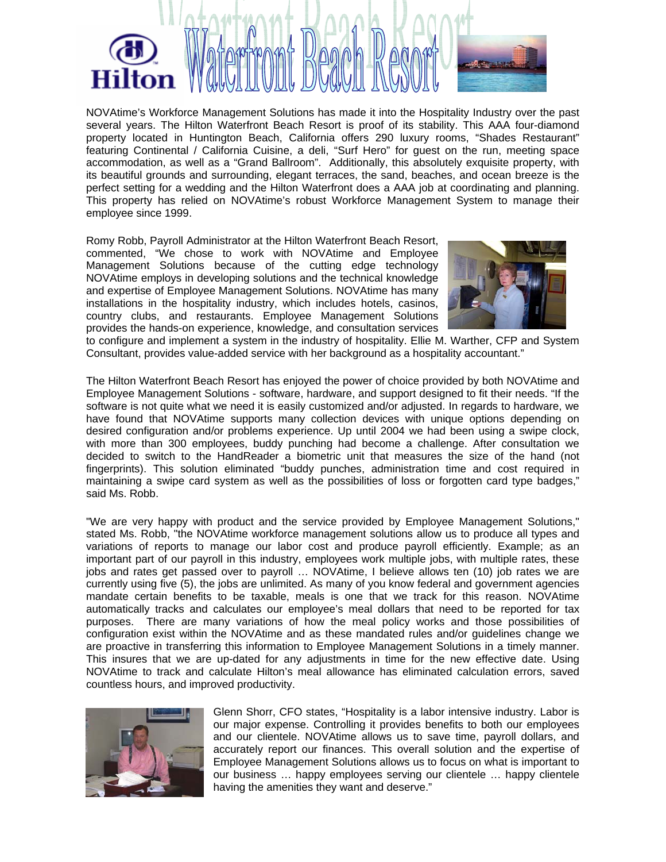

NOVAtime's Workforce Management Solutions has made it into the Hospitality Industry over the past several years. The Hilton Waterfront Beach Resort is proof of its stability. This AAA four-diamond property located in Huntington Beach, California offers 290 luxury rooms, "Shades Restaurant" featuring Continental / California Cuisine, a deli, "Surf Hero" for guest on the run, meeting space accommodation, as well as a "Grand Ballroom". Additionally, this absolutely exquisite property, with its beautiful grounds and surrounding, elegant terraces, the sand, beaches, and ocean breeze is the perfect setting for a wedding and the Hilton Waterfront does a AAA job at coordinating and planning. This property has relied on NOVAtime's robust Workforce Management System to manage their employee since 1999.

Romy Robb, Payroll Administrator at the Hilton Waterfront Beach Resort, commented, "We chose to work with NOVAtime and Employee Management Solutions because of the cutting edge technology NOVAtime employs in developing solutions and the technical knowledge and expertise of Employee Management Solutions. NOVAtime has many installations in the hospitality industry, which includes hotels, casinos, country clubs, and restaurants. Employee Management Solutions provides the hands-on experience, knowledge, and consultation services



to configure and implement a system in the industry of hospitality. Ellie M. Warther, CFP and System Consultant, provides value-added service with her background as a hospitality accountant."

The Hilton Waterfront Beach Resort has enjoyed the power of choice provided by both NOVAtime and Employee Management Solutions - software, hardware, and support designed to fit their needs. "If the software is not quite what we need it is easily customized and/or adjusted. In regards to hardware, we have found that NOVAtime supports many collection devices with unique options depending on desired configuration and/or problems experience. Up until 2004 we had been using a swipe clock, with more than 300 employees, buddy punching had become a challenge. After consultation we decided to switch to the HandReader a biometric unit that measures the size of the hand (not fingerprints). This solution eliminated "buddy punches, administration time and cost required in maintaining a swipe card system as well as the possibilities of loss or forgotten card type badges," said Ms. Robb.

"We are very happy with product and the service provided by Employee Management Solutions," stated Ms. Robb, "the NOVAtime workforce management solutions allow us to produce all types and variations of reports to manage our labor cost and produce payroll efficiently. Example; as an important part of our payroll in this industry, employees work multiple jobs, with multiple rates, these jobs and rates get passed over to payroll … NOVAtime, I believe allows ten (10) job rates we are currently using five (5), the jobs are unlimited. As many of you know federal and government agencies mandate certain benefits to be taxable, meals is one that we track for this reason. NOVAtime automatically tracks and calculates our employee's meal dollars that need to be reported for tax purposes. There are many variations of how the meal policy works and those possibilities of configuration exist within the NOVAtime and as these mandated rules and/or guidelines change we are proactive in transferring this information to Employee Management Solutions in a timely manner. This insures that we are up-dated for any adjustments in time for the new effective date. Using NOVAtime to track and calculate Hilton's meal allowance has eliminated calculation errors, saved countless hours, and improved productivity.



Glenn Shorr, CFO states, "Hospitality is a labor intensive industry. Labor is our major expense. Controlling it provides benefits to both our employees and our clientele. NOVAtime allows us to save time, payroll dollars, and accurately report our finances. This overall solution and the expertise of Employee Management Solutions allows us to focus on what is important to our business … happy employees serving our clientele … happy clientele having the amenities they want and deserve."